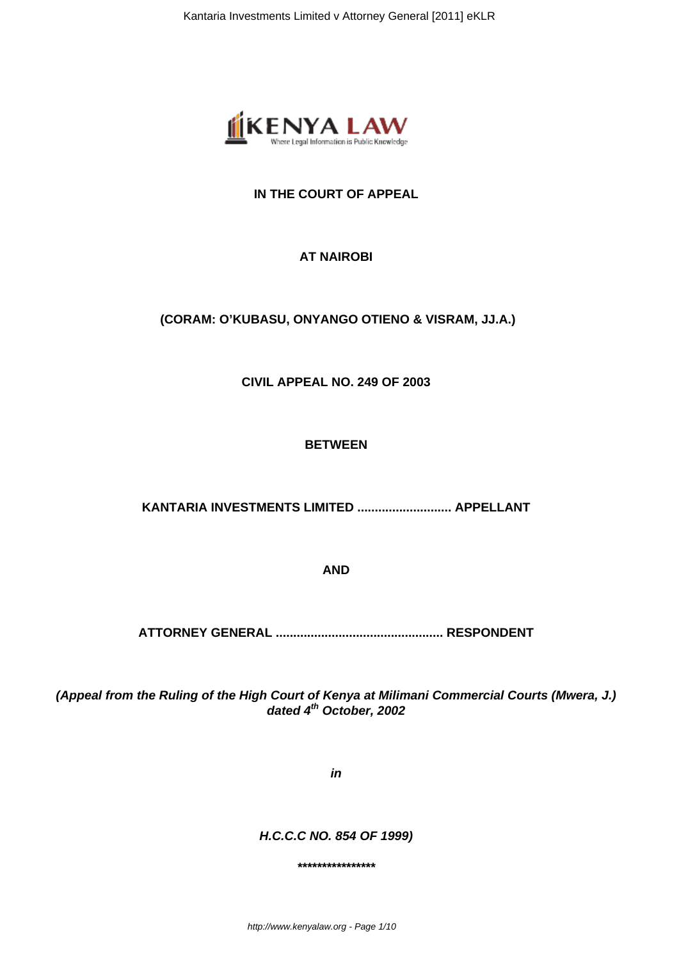

# **IN THE COURT OF APPEAL**

## **AT NAIROBI**

## **(CORAM: O'KUBASU, ONYANGO OTIENO & VISRAM, JJ.A.)**

**CIVIL APPEAL NO. 249 OF 2003**

#### **BETWEEN**

**KANTARIA INVESTMENTS LIMITED ........................... APPELLANT**

**AND**

**ATTORNEY GENERAL ................................................ RESPONDENT**

**(Appeal from the Ruling of the High Court of Kenya at Milimani Commercial Courts (Mwera, J.) dated 4th October, 2002**

**in**

**H.C.C.C NO. 854 OF 1999)**

**\*\*\*\*\*\*\*\*\*\*\*\*\*\*\*\***

http://www.kenyalaw.org - Page 1/10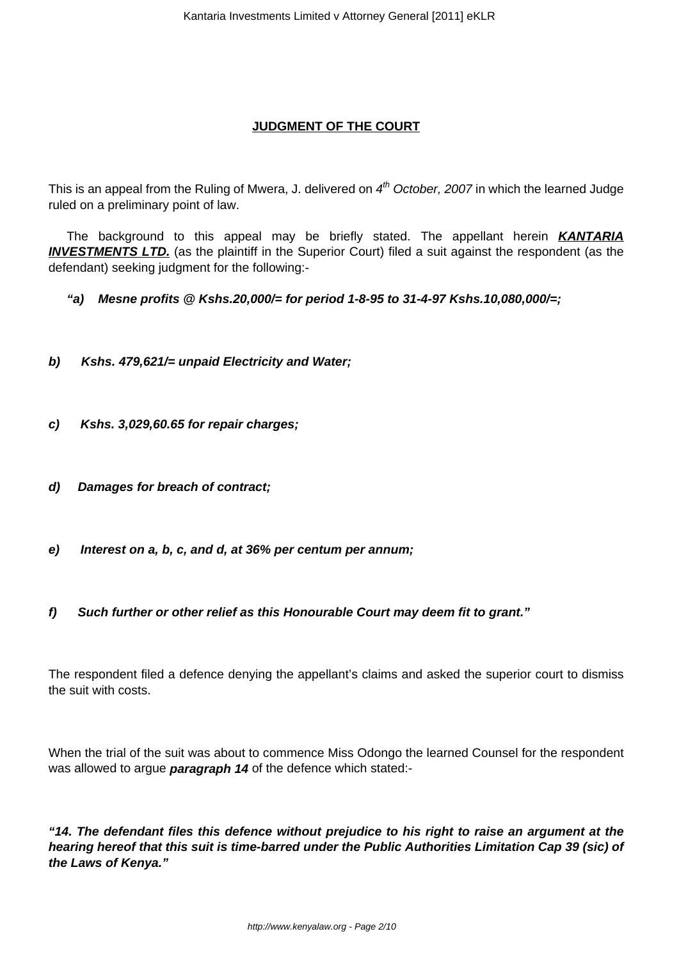## **JUDGMENT OF THE COURT**

This is an appeal from the Ruling of Mwera, J. delivered on  $4<sup>th</sup>$  October, 2007 in which the learned Judge ruled on a preliminary point of law.

The background to this appeal may be briefly stated. The appellant herein **KANTARIA INVESTMENTS LTD.** (as the plaintiff in the Superior Court) filed a suit against the respondent (as the defendant) seeking judgment for the following:-

**"a) Mesne profits @ Kshs.20,000/= for period 1-8-95 to 31-4-97 Kshs.10,080,000/=;**

- **b) Kshs. 479,621/= unpaid Electricity and Water;**
- **c) Kshs. 3,029,60.65 for repair charges;**
- **d) Damages for breach of contract;**
- **e) Interest on a, b, c, and d, at 36% per centum per annum;**
- **f) Such further or other relief as this Honourable Court may deem fit to grant."**

The respondent filed a defence denying the appellant's claims and asked the superior court to dismiss the suit with costs.

When the trial of the suit was about to commence Miss Odongo the learned Counsel for the respondent was allowed to argue **paragraph 14** of the defence which stated:-

**"14. The defendant files this defence without prejudice to his right to raise an argument at the hearing hereof that this suit is time-barred under the Public Authorities Limitation Cap 39 (sic) of the Laws of Kenya."**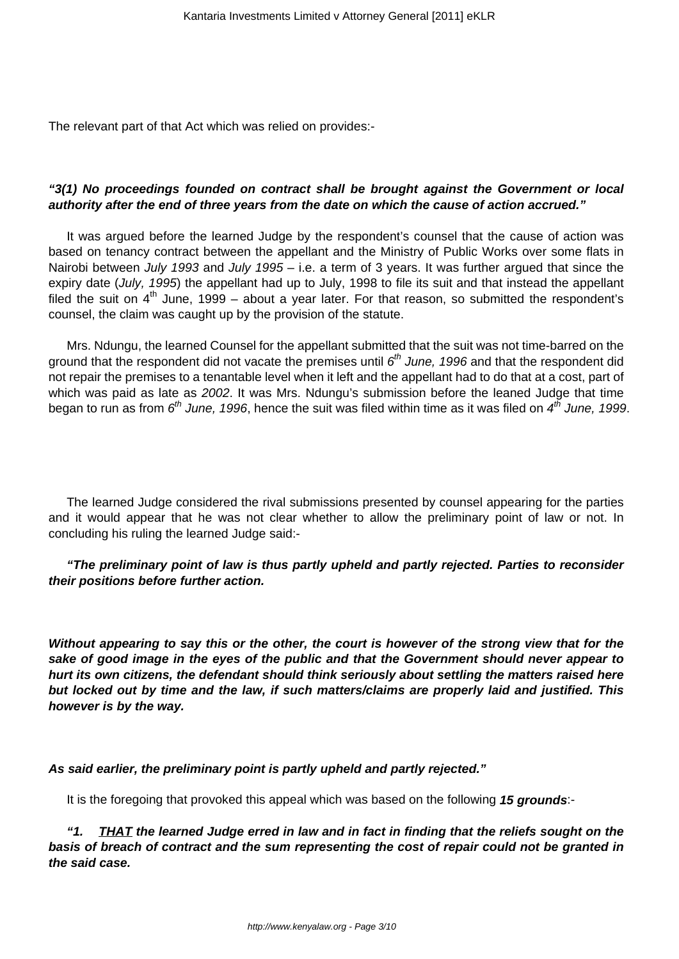The relevant part of that Act which was relied on provides:-

### **"3(1) No proceedings founded on contract shall be brought against the Government or local authority after the end of three years from the date on which the cause of action accrued."**

It was argued before the learned Judge by the respondent's counsel that the cause of action was based on tenancy contract between the appellant and the Ministry of Public Works over some flats in Nairobi between July 1993 and July 1995 – i.e. a term of 3 years. It was further argued that since the expiry date (July, 1995) the appellant had up to July, 1998 to file its suit and that instead the appellant filed the suit on  $4<sup>th</sup>$  June, 1999 – about a year later. For that reason, so submitted the respondent's counsel, the claim was caught up by the provision of the statute.

Mrs. Ndungu, the learned Counsel for the appellant submitted that the suit was not time-barred on the ground that the respondent did not vacate the premises until  $6^{th}$  June, 1996 and that the respondent did not repair the premises to a tenantable level when it left and the appellant had to do that at a cost, part of which was paid as late as 2002. It was Mrs. Ndungu's submission before the leaned Judge that time began to run as from  $6^{th}$  June, 1996, hence the suit was filed within time as it was filed on  $4^{th}$  June, 1999.

The learned Judge considered the rival submissions presented by counsel appearing for the parties and it would appear that he was not clear whether to allow the preliminary point of law or not. In concluding his ruling the learned Judge said:-

#### **"The preliminary point of law is thus partly upheld and partly rejected. Parties to reconsider their positions before further action.**

**Without appearing to say this or the other, the court is however of the strong view that for the sake of good image in the eyes of the public and that the Government should never appear to hurt its own citizens, the defendant should think seriously about settling the matters raised here but locked out by time and the law, if such matters/claims are properly laid and justified. This however is by the way.**

**As said earlier, the preliminary point is partly upheld and partly rejected."**

It is the foregoing that provoked this appeal which was based on the following **15 grounds**:-

**"1. THAT the learned Judge erred in law and in fact in finding that the reliefs sought on the basis of breach of contract and the sum representing the cost of repair could not be granted in the said case.**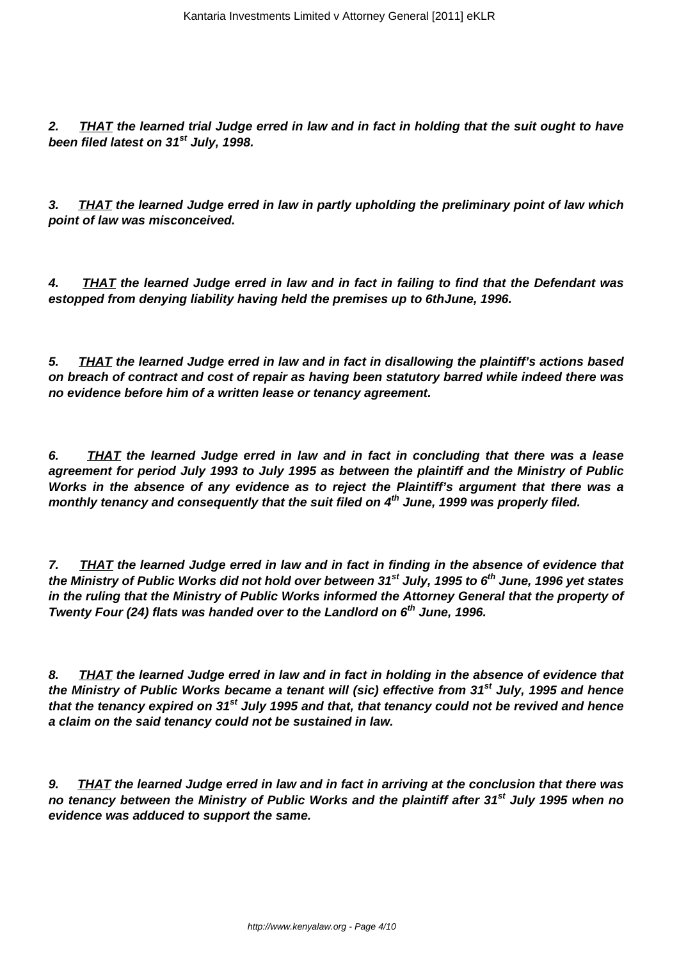**2. THAT the learned trial Judge erred in law and in fact in holding that the suit ought to have been filed latest on 31st July, 1998.**

**3. THAT the learned Judge erred in law in partly upholding the preliminary point of law which point of law was misconceived.**

**4. THAT the learned Judge erred in law and in fact in failing to find that the Defendant was estopped from denying liability having held the premises up to 6thJune, 1996.**

**5. THAT the learned Judge erred in law and in fact in disallowing the plaintiff's actions based on breach of contract and cost of repair as having been statutory barred while indeed there was no evidence before him of a written lease or tenancy agreement.**

**6. THAT the learned Judge erred in law and in fact in concluding that there was a lease agreement for period July 1993 to July 1995 as between the plaintiff and the Ministry of Public Works in the absence of any evidence as to reject the Plaintiff's argument that there was a monthly tenancy and consequently that the suit filed on 4th June, 1999 was properly filed.**

**7. THAT the learned Judge erred in law and in fact in finding in the absence of evidence that the Ministry of Public Works did not hold over between 31st July, 1995 to 6th June, 1996 yet states in the ruling that the Ministry of Public Works informed the Attorney General that the property of Twenty Four (24) flats was handed over to the Landlord on 6th June, 1996.**

**8. THAT the learned Judge erred in law and in fact in holding in the absence of evidence that the Ministry of Public Works became a tenant will (sic) effective from 31st July, 1995 and hence that the tenancy expired on 31st July 1995 and that, that tenancy could not be revived and hence a claim on the said tenancy could not be sustained in law.**

**9. THAT the learned Judge erred in law and in fact in arriving at the conclusion that there was no tenancy between the Ministry of Public Works and the plaintiff after 31st July 1995 when no evidence was adduced to support the same.**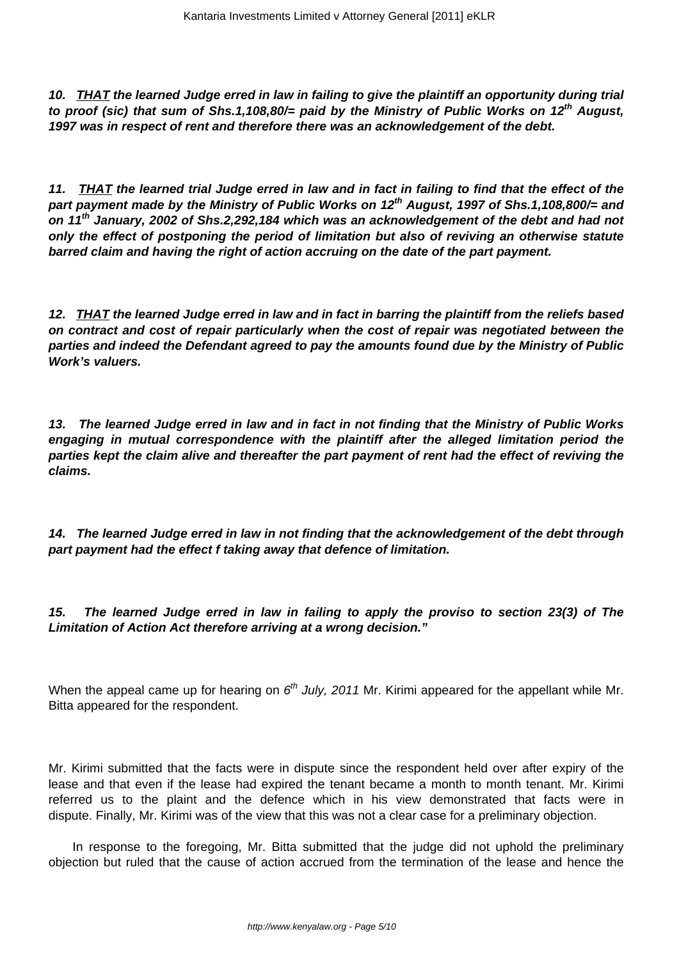**10. THAT the learned Judge erred in law in failing to give the plaintiff an opportunity during trial to proof (sic) that sum of Shs.1,108,80/= paid by the Ministry of Public Works on 12th August, 1997 was in respect of rent and therefore there was an acknowledgement of the debt.**

**11. THAT the learned trial Judge erred in law and in fact in failing to find that the effect of the part payment made by the Ministry of Public Works on 12th August, 1997 of Shs.1,108,800/= and on 11th January, 2002 of Shs.2,292,184 which was an acknowledgement of the debt and had not only the effect of postponing the period of limitation but also of reviving an otherwise statute barred claim and having the right of action accruing on the date of the part payment.**

**12. THAT the learned Judge erred in law and in fact in barring the plaintiff from the reliefs based on contract and cost of repair particularly when the cost of repair was negotiated between the parties and indeed the Defendant agreed to pay the amounts found due by the Ministry of Public Work's valuers.**

**13. The learned Judge erred in law and in fact in not finding that the Ministry of Public Works engaging in mutual correspondence with the plaintiff after the alleged limitation period the parties kept the claim alive and thereafter the part payment of rent had the effect of reviving the claims.**

**14. The learned Judge erred in law in not finding that the acknowledgement of the debt through part payment had the effect f taking away that defence of limitation.**

**15. The learned Judge erred in law in failing to apply the proviso to section 23(3) of The Limitation of Action Act therefore arriving at a wrong decision."**

When the appeal came up for hearing on  $6<sup>th</sup>$  July, 2011 Mr. Kirimi appeared for the appellant while Mr. Bitta appeared for the respondent.

Mr. Kirimi submitted that the facts were in dispute since the respondent held over after expiry of the lease and that even if the lease had expired the tenant became a month to month tenant. Mr. Kirimi referred us to the plaint and the defence which in his view demonstrated that facts were in dispute. Finally, Mr. Kirimi was of the view that this was not a clear case for a preliminary objection.

In response to the foregoing, Mr. Bitta submitted that the judge did not uphold the preliminary objection but ruled that the cause of action accrued from the termination of the lease and hence the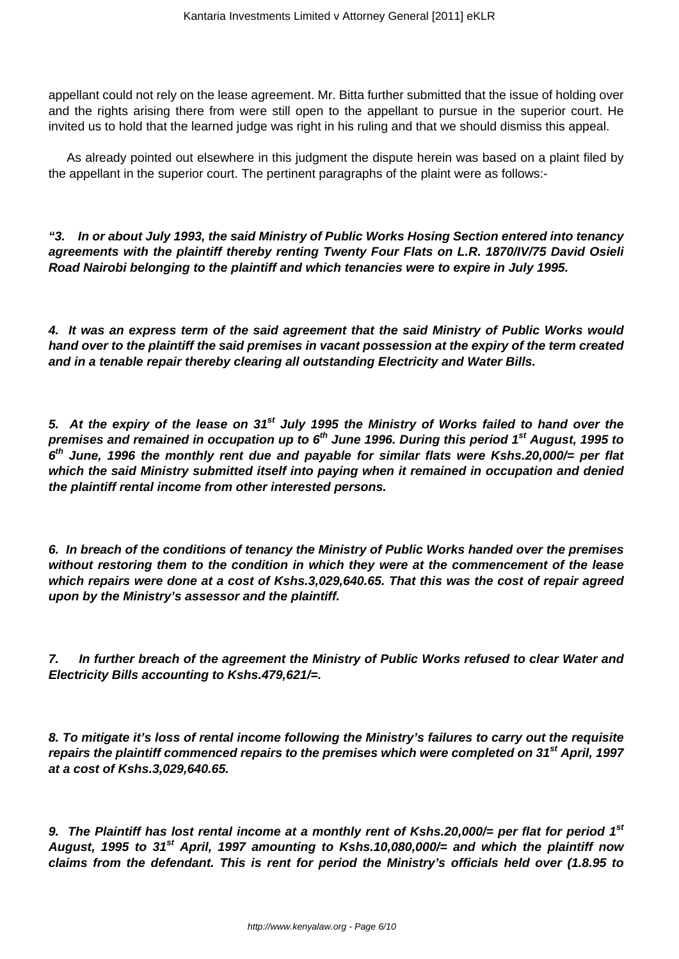appellant could not rely on the lease agreement. Mr. Bitta further submitted that the issue of holding over and the rights arising there from were still open to the appellant to pursue in the superior court. He invited us to hold that the learned judge was right in his ruling and that we should dismiss this appeal.

As already pointed out elsewhere in this judgment the dispute herein was based on a plaint filed by the appellant in the superior court. The pertinent paragraphs of the plaint were as follows:-

**"3. In or about July 1993, the said Ministry of Public Works Hosing Section entered into tenancy agreements with the plaintiff thereby renting Twenty Four Flats on L.R. 1870/IV/75 David Osieli Road Nairobi belonging to the plaintiff and which tenancies were to expire in July 1995.**

**4. It was an express term of the said agreement that the said Ministry of Public Works would hand over to the plaintiff the said premises in vacant possession at the expiry of the term created and in a tenable repair thereby clearing all outstanding Electricity and Water Bills.**

**5. At the expiry of the lease on 31st July 1995 the Ministry of Works failed to hand over the premises and remained in occupation up to 6th June 1996. During this period 1st August, 1995 to 6 th June, 1996 the monthly rent due and payable for similar flats were Kshs.20,000/= per flat which the said Ministry submitted itself into paying when it remained in occupation and denied the plaintiff rental income from other interested persons.**

**6. In breach of the conditions of tenancy the Ministry of Public Works handed over the premises without restoring them to the condition in which they were at the commencement of the lease which repairs were done at a cost of Kshs.3,029,640.65. That this was the cost of repair agreed upon by the Ministry's assessor and the plaintiff.**

**7. In further breach of the agreement the Ministry of Public Works refused to clear Water and Electricity Bills accounting to Kshs.479,621/=.**

**8. To mitigate it's loss of rental income following the Ministry's failures to carry out the requisite repairs the plaintiff commenced repairs to the premises which were completed on 31st April, 1997 at a cost of Kshs.3,029,640.65.**

**9. The Plaintiff has lost rental income at a monthly rent of Kshs.20,000/= per flat for period 1st August, 1995 to 31st April, 1997 amounting to Kshs.10,080,000/= and which the plaintiff now claims from the defendant. This is rent for period the Ministry's officials held over (1.8.95 to**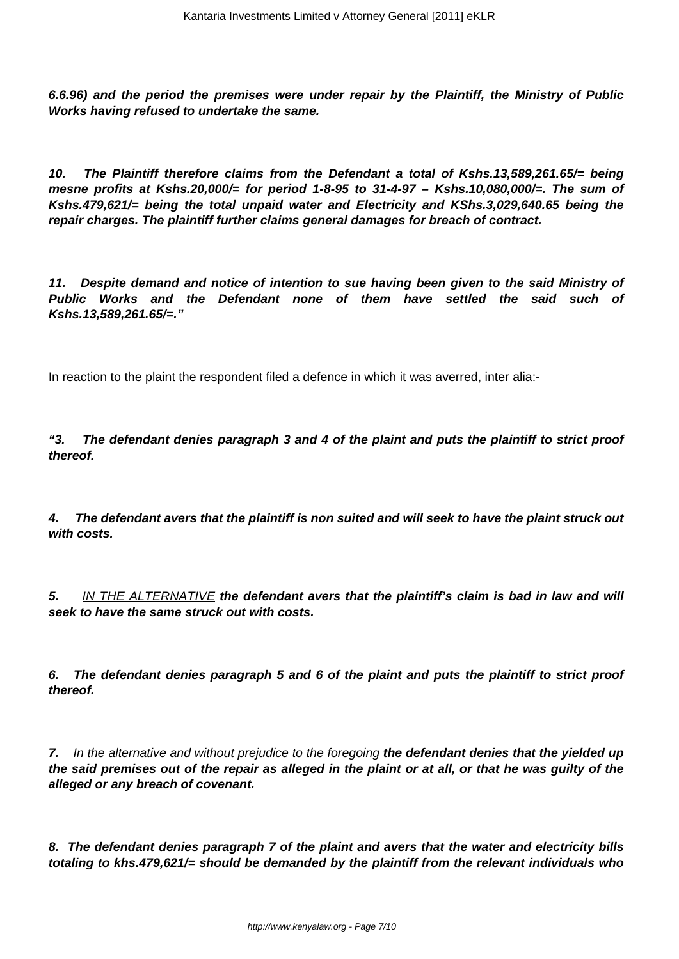**6.6.96) and the period the premises were under repair by the Plaintiff, the Ministry of Public Works having refused to undertake the same.**

**10. The Plaintiff therefore claims from the Defendant a total of Kshs.13,589,261.65/= being mesne profits at Kshs.20,000/= for period 1-8-95 to 31-4-97 – Kshs.10,080,000/=. The sum of Kshs.479,621/= being the total unpaid water and Electricity and KShs.3,029,640.65 being the repair charges. The plaintiff further claims general damages for breach of contract.**

**11. Despite demand and notice of intention to sue having been given to the said Ministry of Public Works and the Defendant none of them have settled the said such of Kshs.13,589,261.65/=."**

In reaction to the plaint the respondent filed a defence in which it was averred, inter alia:-

**"3. The defendant denies paragraph 3 and 4 of the plaint and puts the plaintiff to strict proof thereof.**

**4. The defendant avers that the plaintiff is non suited and will seek to have the plaint struck out with costs.**

**5.** IN THE ALTERNATIVE **the defendant avers that the plaintiff's claim is bad in law and will seek to have the same struck out with costs.**

**6. The defendant denies paragraph 5 and 6 of the plaint and puts the plaintiff to strict proof thereof.**

**7.** In the alternative and without prejudice to the foregoing **the defendant denies that the yielded up the said premises out of the repair as alleged in the plaint or at all, or that he was guilty of the alleged or any breach of covenant.**

**8. The defendant denies paragraph 7 of the plaint and avers that the water and electricity bills totaling to khs.479,621/= should be demanded by the plaintiff from the relevant individuals who**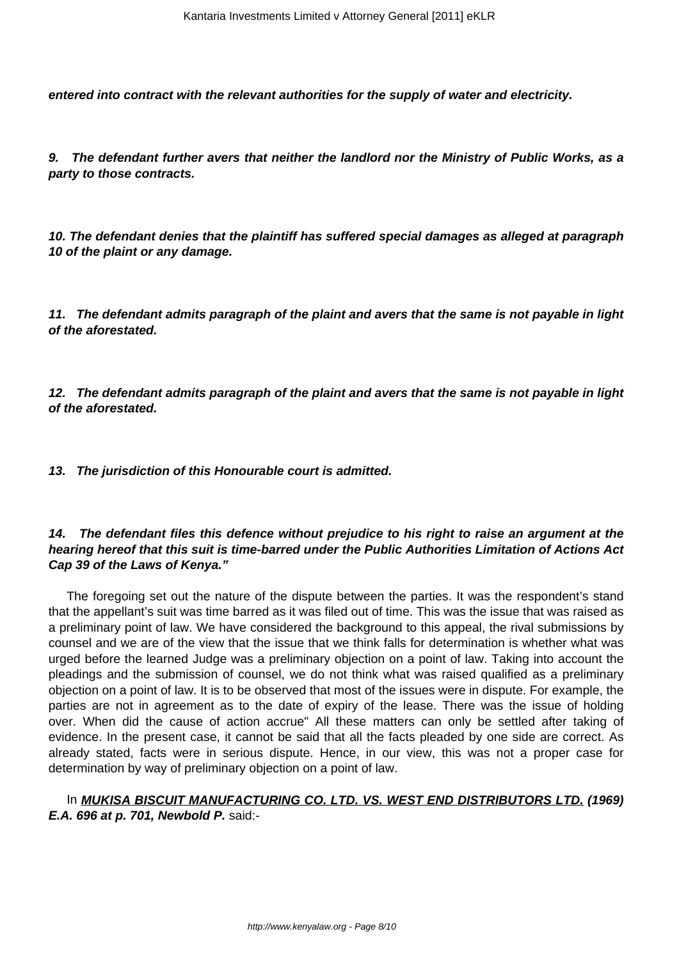**entered into contract with the relevant authorities for the supply of water and electricity.**

**9. The defendant further avers that neither the landlord nor the Ministry of Public Works, as a party to those contracts.**

**10. The defendant denies that the plaintiff has suffered special damages as alleged at paragraph 10 of the plaint or any damage.**

**11. The defendant admits paragraph of the plaint and avers that the same is not payable in light of the aforestated.**

**12. The defendant admits paragraph of the plaint and avers that the same is not payable in light of the aforestated.**

**13. The jurisdiction of this Honourable court is admitted.**

### **14. The defendant files this defence without prejudice to his right to raise an argument at the hearing hereof that this suit is time-barred under the Public Authorities Limitation of Actions Act Cap 39 of the Laws of Kenya."**

The foregoing set out the nature of the dispute between the parties. It was the respondent's stand that the appellant's suit was time barred as it was filed out of time. This was the issue that was raised as a preliminary point of law. We have considered the background to this appeal, the rival submissions by counsel and we are of the view that the issue that we think falls for determination is whether what was urged before the learned Judge was a preliminary objection on a point of law. Taking into account the pleadings and the submission of counsel, we do not think what was raised qualified as a preliminary objection on a point of law. It is to be observed that most of the issues were in dispute. For example, the parties are not in agreement as to the date of expiry of the lease. There was the issue of holding over. When did the cause of action accrue" All these matters can only be settled after taking of evidence. In the present case, it cannot be said that all the facts pleaded by one side are correct. As already stated, facts were in serious dispute. Hence, in our view, this was not a proper case for determination by way of preliminary objection on a point of law.

## In **MUKISA BISCUIT MANUFACTURING CO. LTD. VS. WEST END DISTRIBUTORS LTD. (1969) E.A. 696 at p. 701, Newbold P.** said:-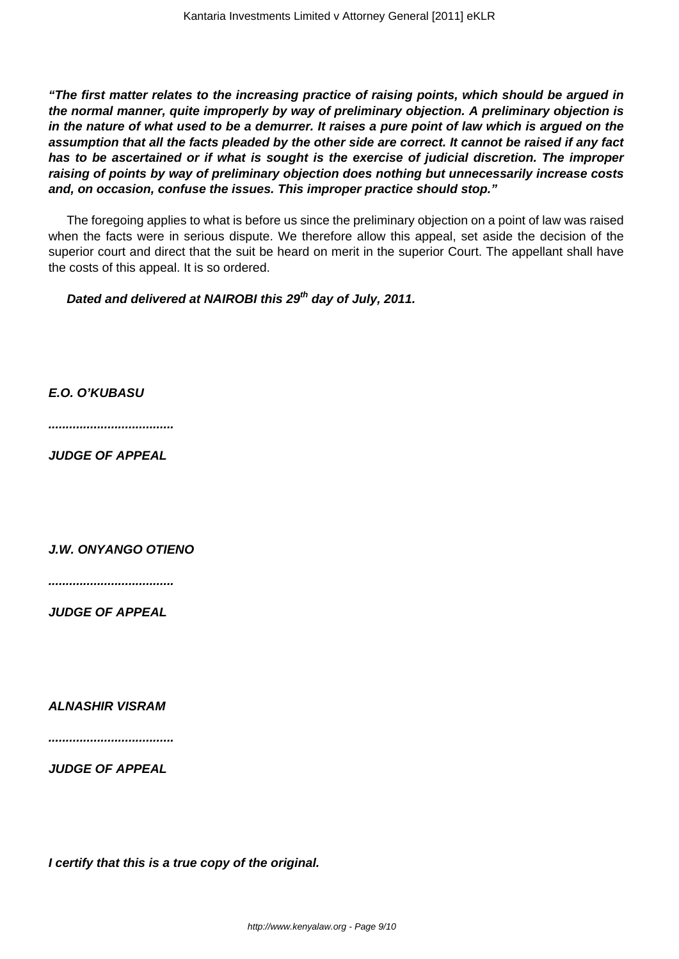**"The first matter relates to the increasing practice of raising points, which should be argued in the normal manner, quite improperly by way of preliminary objection. A preliminary objection is in the nature of what used to be a demurrer. It raises a pure point of law which is argued on the assumption that all the facts pleaded by the other side are correct. It cannot be raised if any fact has to be ascertained or if what is sought is the exercise of judicial discretion. The improper raising of points by way of preliminary objection does nothing but unnecessarily increase costs and, on occasion, confuse the issues. This improper practice should stop."**

The foregoing applies to what is before us since the preliminary objection on a point of law was raised when the facts were in serious dispute. We therefore allow this appeal, set aside the decision of the superior court and direct that the suit be heard on merit in the superior Court. The appellant shall have the costs of this appeal. It is so ordered.

**Dated and delivered at NAIROBI this 29th day of July, 2011.**

**E.O. O'KUBASU**

**....................................**

**JUDGE OF APPEAL**

**J.W. ONYANGO OTIENO**

**....................................**

**JUDGE OF APPEAL**

**ALNASHIR VISRAM**

**....................................**

**JUDGE OF APPEAL**

**I certify that this is a true copy of the original.**